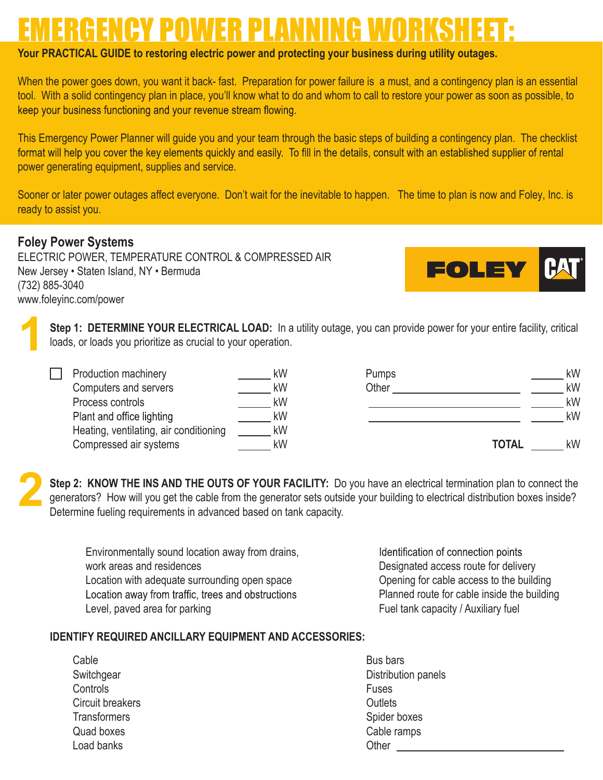## EMERGENCY POWER PLANNING WORKSHEET:

## **Your PRACTICAL GUIDE to restoring electric power and protecting your business during utility outages.**

When the power goes down, you want it back- fast. Preparation for power failure is a must, and a contingency plan is an essential tool. With a solid contingency plan in place, you'll know what to do and whom to call to restore your power as soon as possible, to keep your business functioning and your revenue stream flowing.

This Emergency Power Planner will guide you and your team through the basic steps of building a contingency plan. The checklist format will help you cover the key elements quickly and easily. To fill in the details, consult with an established supplier of rental power generating equipment, supplies and service.

Sooner or later power outages affect everyone. Don't wait for the inevitable to happen. The time to plan is now and Foley, Inc. is ready to assist you.

## **Foley Power Systems**

**1**

 $\Box$ 

ELECTRIC POWER, TEMPERATURE CONTROL & COMPRESSED AIR New Jersey • Staten Island, NY • Bermuda (732) 885-3040 www.foleyinc.com/power



**Step 1: DETERMINE YOUR ELECTRICAL LOAD:** In a utility outage, you can provide power for your entire facility, critical loads, or loads you prioritize as crucial to your operation.

| Production machinery                   | kW |
|----------------------------------------|----|
| Computers and servers                  | kW |
| Process controls                       | kW |
| Plant and office lighting              | kW |
| Heating, ventilating, air conditioning | kW |
| Compressed air systems                 | kW |

| Pumps |              | kW |
|-------|--------------|----|
| Other |              | kW |
|       |              | kW |
|       |              | kW |
|       |              |    |
|       | <b>TOTAL</b> | kW |

**2Step 2: KNOW THE INS AND THE OUTS OF YOUR FACILITY:** Do you have an electrical termination plan to connect the generators? How will you get the cable from the generator sets outside your building to electrical distribution boxes inside? Determine fueling requirements in advanced based on tank capacity.

Environmentally sound location away from drains, work areas and residences Location with adequate surrounding open space<br>Location away from traffic, trees and obstructions Level, paved area for parking

Identification of connection points Designated access route for delivery Opening for cable access to the building Planned route for cable inside the building Fuel tank capacity / Auxiliary fuel

## **IDENTIFY REQUIRED ANCILLARY EQUIPMENT AND ACCESSORIES:**

Cable **Switchgear Controls** Circuit breakers **Transformers** Quad boxes Load banks

Bus bars Distribution panels Fuses **Outlets** Spider boxes Cable ramps **Other**